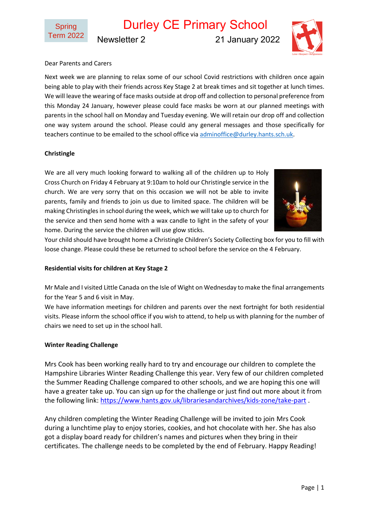Durley CE Primary School

Newsletter 2 21 January 2022



## Dear Parents and Carers

Next week we are planning to relax some of our school Covid restrictions with children once again being able to play with their friends across Key Stage 2 at break times and sit together at lunch times. We will leave the wearing of face masks outside at drop off and collection to personal preference from this Monday 24 January, however please could face masks be worn at our planned meetings with parents in the school hall on Monday and Tuesday evening. We will retain our drop off and collection one way system around the school. Please could any general messages and those specifically for teachers continue to be emailed to the school office vi[a adminoffice@durley.hants.sch.uk.](mailto:adminoffice@durley.hants.sch.uk)

### **Christingle**

We are all very much looking forward to walking all of the children up to Holy Cross Church on Friday 4 February at 9:10am to hold our Christingle service in the church. We are very sorry that on this occasion we will not be able to invite parents, family and friends to join us due to limited space. The children will be making Christingles in school during the week, which we will take up to church for the service and then send home with a wax candle to light in the safety of your home. During the service the children will use glow sticks.



Your child should have brought home a Christingle Children's Society Collecting box for you to fill with loose change. Please could these be returned to school before the service on the 4 February.

#### **Residential visits for children at Key Stage 2**

Mr Male and I visited Little Canada on the Isle of Wight on Wednesday to make the final arrangements for the Year 5 and 6 visit in May.

We have information meetings for children and parents over the next fortnight for both residential visits. Please inform the school office if you wish to attend, to help us with planning for the number of chairs we need to set up in the school hall.

#### **Winter Reading Challenge**

Mrs Cook has been working really hard to try and encourage our children to complete the Hampshire Libraries Winter Reading Challenge this year. Very few of our children completed the Summer Reading Challenge compared to other schools, and we are hoping this one will have a greater take up. You can sign up for the challenge or just find out more about it from the following link: <https://www.hants.gov.uk/librariesandarchives/kids-zone/take-part> .

Any children completing the Winter Reading Challenge will be invited to join Mrs Cook during a lunchtime play to enjoy stories, cookies, and hot chocolate with her. She has also got a display board ready for children's names and pictures when they bring in their certificates. The challenge needs to be completed by the end of February. Happy Reading!